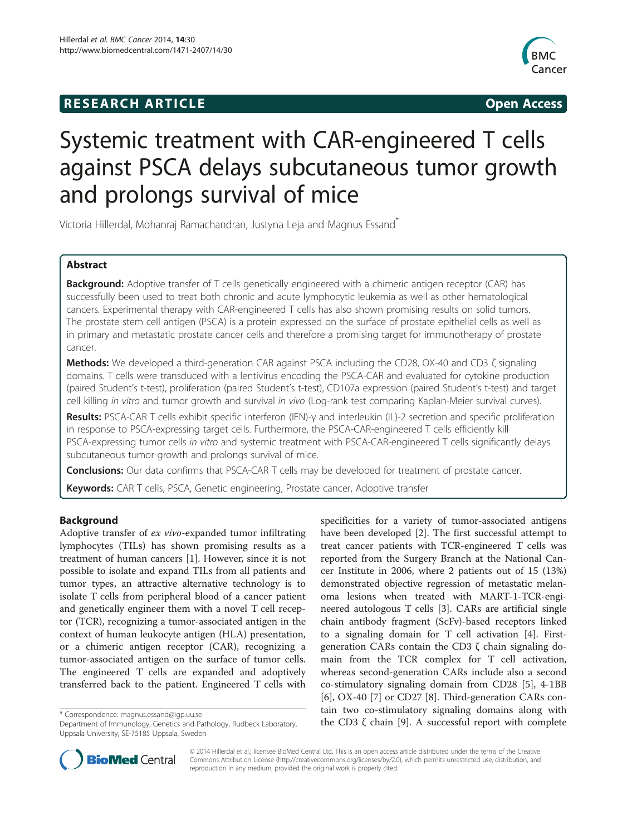## **RESEARCH ARTICLE Example 2014 CONSIDERING CONSIDERING CONSIDERING CONSIDERING CONSIDERING CONSIDERING CONSIDERING CONSIDERING CONSIDERING CONSIDERING CONSIDERING CONSIDERING CONSIDERING CONSIDERING CONSIDERING CONSIDE**



# Systemic treatment with CAR-engineered T cells against PSCA delays subcutaneous tumor growth and prolongs survival of mice

Victoria Hillerdal, Mohanraj Ramachandran, Justyna Leja and Magnus Essand\*

## Abstract

Background: Adoptive transfer of T cells genetically engineered with a chimeric antigen receptor (CAR) has successfully been used to treat both chronic and acute lymphocytic leukemia as well as other hematological cancers. Experimental therapy with CAR-engineered T cells has also shown promising results on solid tumors. The prostate stem cell antigen (PSCA) is a protein expressed on the surface of prostate epithelial cells as well as in primary and metastatic prostate cancer cells and therefore a promising target for immunotherapy of prostate cancer.

Methods: We developed a third-generation CAR against PSCA including the CD28, OX-40 and CD3 ζ signaling domains. T cells were transduced with a lentivirus encoding the PSCA-CAR and evaluated for cytokine production (paired Student's t-test), proliferation (paired Student's t-test), CD107a expression (paired Student's t-test) and target cell killing in vitro and tumor growth and survival in vivo (Log-rank test comparing Kaplan-Meier survival curves).

Results: PSCA-CAR T cells exhibit specific interferon (IFN)-γ and interleukin (IL)-2 secretion and specific proliferation in response to PSCA-expressing target cells. Furthermore, the PSCA-CAR-engineered T cells efficiently kill PSCA-expressing tumor cells in vitro and systemic treatment with PSCA-CAR-engineered T cells significantly delays subcutaneous tumor growth and prolongs survival of mice.

**Conclusions:** Our data confirms that PSCA-CAR T cells may be developed for treatment of prostate cancer.

**Keywords:** CAR T cells, PSCA, Genetic engineering, Prostate cancer, Adoptive transfer

## Background

Adoptive transfer of ex vivo-expanded tumor infiltrating lymphocytes (TILs) has shown promising results as a treatment of human cancers [[1\]](#page-7-0). However, since it is not possible to isolate and expand TILs from all patients and tumor types, an attractive alternative technology is to isolate T cells from peripheral blood of a cancer patient and genetically engineer them with a novel T cell receptor (TCR), recognizing a tumor-associated antigen in the context of human leukocyte antigen (HLA) presentation, or a chimeric antigen receptor (CAR), recognizing a tumor-associated antigen on the surface of tumor cells. The engineered T cells are expanded and adoptively transferred back to the patient. Engineered T cells with

specificities for a variety of tumor-associated antigens have been developed [[2](#page-7-0)]. The first successful attempt to treat cancer patients with TCR-engineered T cells was reported from the Surgery Branch at the National Cancer Institute in 2006, where 2 patients out of 15 (13%) demonstrated objective regression of metastatic melanoma lesions when treated with MART-1-TCR-engineered autologous T cells [\[3](#page-7-0)]. CARs are artificial single chain antibody fragment (ScFv)-based receptors linked to a signaling domain for T cell activation [\[4](#page-7-0)]. Firstgeneration CARs contain the CD3 ζ chain signaling domain from the TCR complex for T cell activation, whereas second-generation CARs include also a second co-stimulatory signaling domain from CD28 [\[5\]](#page-7-0), 4-1BB [[6\]](#page-7-0), OX-40 [[7\]](#page-7-0) or CD27 [\[8](#page-7-0)]. Third-generation CARs contain two co-stimulatory signaling domains along with the Correspondence: magnus.essand@igp.uu.se<br>Department of Immunology, Genetics and Pathology, Rudbeck Laboratory, <br>Department of Immunology, Genetics and Pathology, Rudbeck Laboratory, the CD3 ζ chain [[9\]](#page-7-0). A successful re



© 2014 Hillerdal et al.; licensee BioMed Central Ltd. This is an open access article distributed under the terms of the Creative Commons Attribution License [\(http://creativecommons.org/licenses/by/2.0\)](http://creativecommons.org/licenses/by/2.0), which permits unrestricted use, distribution, and reproduction in any medium, provided the original work is properly cited.

Department of Immunology, Genetics and Pathology, Rudbeck Laboratory, Uppsala University, SE-75185 Uppsala, Sweden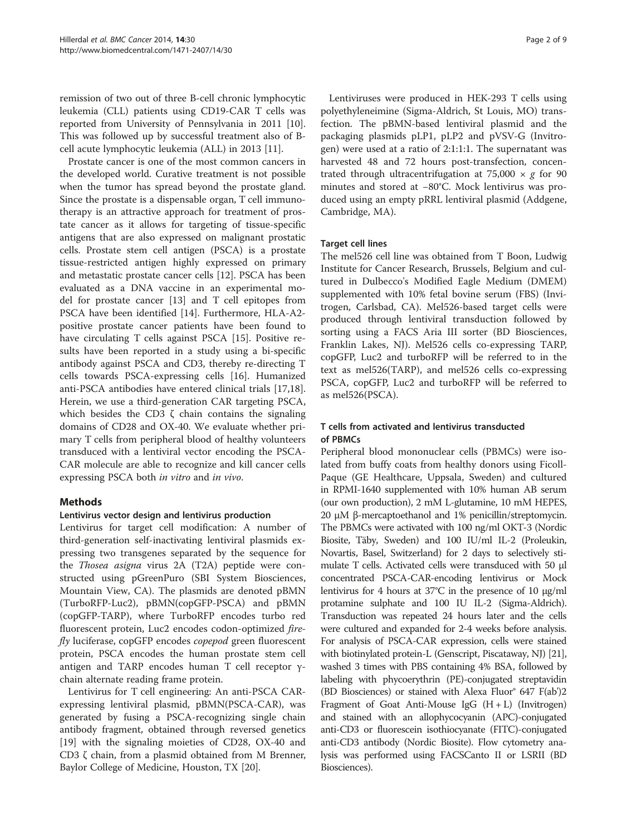remission of two out of three B-cell chronic lymphocytic leukemia (CLL) patients using CD19-CAR T cells was reported from University of Pennsylvania in 2011 [\[10](#page-7-0)]. This was followed up by successful treatment also of Bcell acute lymphocytic leukemia (ALL) in 2013 [\[11](#page-7-0)].

Prostate cancer is one of the most common cancers in the developed world. Curative treatment is not possible when the tumor has spread beyond the prostate gland. Since the prostate is a dispensable organ, T cell immunotherapy is an attractive approach for treatment of prostate cancer as it allows for targeting of tissue-specific antigens that are also expressed on malignant prostatic cells. Prostate stem cell antigen (PSCA) is a prostate tissue-restricted antigen highly expressed on primary and metastatic prostate cancer cells [\[12\]](#page-7-0). PSCA has been evaluated as a DNA vaccine in an experimental model for prostate cancer [[13\]](#page-7-0) and T cell epitopes from PSCA have been identified [[14](#page-7-0)]. Furthermore, HLA-A2 positive prostate cancer patients have been found to have circulating T cells against PSCA [[15](#page-7-0)]. Positive results have been reported in a study using a bi-specific antibody against PSCA and CD3, thereby re-directing T cells towards PSCA-expressing cells [\[16\]](#page-7-0). Humanized anti-PSCA antibodies have entered clinical trials [\[17,18](#page-7-0)]. Herein, we use a third-generation CAR targeting PSCA, which besides the CD3  $\zeta$  chain contains the signaling domains of CD28 and OX-40. We evaluate whether primary T cells from peripheral blood of healthy volunteers transduced with a lentiviral vector encoding the PSCA-CAR molecule are able to recognize and kill cancer cells expressing PSCA both in vitro and in vivo.

## **Methods**

## Lentivirus vector design and lentivirus production

Lentivirus for target cell modification: A number of third-generation self-inactivating lentiviral plasmids expressing two transgenes separated by the sequence for the Thosea asigna virus 2A (T2A) peptide were constructed using pGreenPuro (SBI System Biosciences, Mountain View, CA). The plasmids are denoted pBMN (TurboRFP-Luc2), pBMN(copGFP-PSCA) and pBMN (copGFP-TARP), where TurboRFP encodes turbo red fluorescent protein, Luc2 encodes codon-optimized firefly luciferase, copGFP encodes *copepod* green fluorescent protein, PSCA encodes the human prostate stem cell antigen and TARP encodes human T cell receptor γchain alternate reading frame protein.

Lentivirus for T cell engineering: An anti-PSCA CARexpressing lentiviral plasmid, pBMN(PSCA-CAR), was generated by fusing a PSCA-recognizing single chain antibody fragment, obtained through reversed genetics [[19\]](#page-7-0) with the signaling moieties of CD28, OX-40 and CD3 ζ chain, from a plasmid obtained from M Brenner, Baylor College of Medicine, Houston, TX [[20](#page-7-0)].

Lentiviruses were produced in HEK-293 T cells using polyethyleneimine (Sigma-Aldrich, St Louis, MO) transfection. The pBMN-based lentiviral plasmid and the packaging plasmids pLP1, pLP2 and pVSV-G (Invitrogen) were used at a ratio of 2:1:1:1. The supernatant was harvested 48 and 72 hours post-transfection, concentrated through ultracentrifugation at 75,000  $\times$  g for 90 minutes and stored at −80°C. Mock lentivirus was produced using an empty pRRL lentiviral plasmid (Addgene, Cambridge, MA).

#### Target cell lines

The mel526 cell line was obtained from T Boon, Ludwig Institute for Cancer Research, Brussels, Belgium and cultured in Dulbecco's Modified Eagle Medium (DMEM) supplemented with 10% fetal bovine serum (FBS) (Invitrogen, Carlsbad, CA). Mel526-based target cells were produced through lentiviral transduction followed by sorting using a FACS Aria III sorter (BD Biosciences, Franklin Lakes, NJ). Mel526 cells co-expressing TARP, copGFP, Luc2 and turboRFP will be referred to in the text as mel526(TARP), and mel526 cells co-expressing PSCA, copGFP, Luc2 and turboRFP will be referred to as mel526(PSCA).

## T cells from activated and lentivirus transducted of PBMCs

Peripheral blood mononuclear cells (PBMCs) were isolated from buffy coats from healthy donors using Ficoll-Paque (GE Healthcare, Uppsala, Sweden) and cultured in RPMI-1640 supplemented with 10% human AB serum (our own production), 2 mM L-glutamine, 10 mM HEPES, 20 μM β-mercaptoethanol and 1% penicillin/streptomycin. The PBMCs were activated with 100 ng/ml OKT-3 (Nordic Biosite, Täby, Sweden) and 100 IU/ml IL-2 (Proleukin, Novartis, Basel, Switzerland) for 2 days to selectively stimulate T cells. Activated cells were transduced with 50 μl concentrated PSCA-CAR-encoding lentivirus or Mock lentivirus for 4 hours at 37°C in the presence of 10 μg/ml protamine sulphate and 100 IU IL-2 (Sigma-Aldrich). Transduction was repeated 24 hours later and the cells were cultured and expanded for 2-4 weeks before analysis. For analysis of PSCA-CAR expression, cells were stained with biotinylated protein-L (Genscript, Piscataway, NJ) [\[21](#page-7-0)], washed 3 times with PBS containing 4% BSA, followed by labeling with phycoerythrin (PE)-conjugated streptavidin (BD Biosciences) or stained with Alexa Fluor®  $647$  F(ab')2 Fragment of Goat Anti-Mouse IgG (H + L) (Invitrogen) and stained with an allophycocyanin (APC)-conjugated anti-CD3 or fluorescein isothiocyanate (FITC)-conjugated anti-CD3 antibody (Nordic Biosite). Flow cytometry analysis was performed using FACSCanto II or LSRII (BD Biosciences).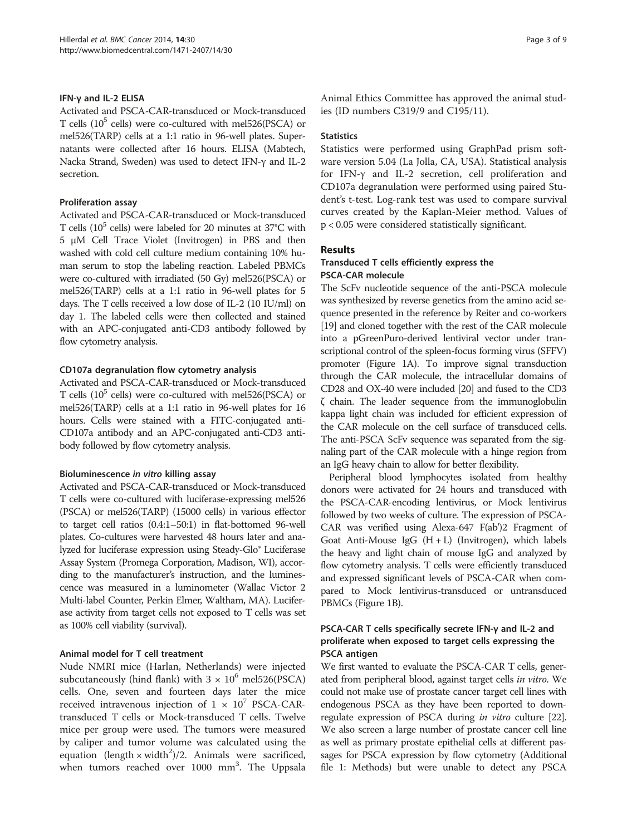#### IFN-γ and IL-2 ELISA

Activated and PSCA-CAR-transduced or Mock-transduced T cells  $(10^5 \text{ cells})$  were co-cultured with mel526(PSCA) or mel526(TARP) cells at a 1:1 ratio in 96-well plates. Supernatants were collected after 16 hours. ELISA (Mabtech, Nacka Strand, Sweden) was used to detect IFN-γ and IL-2 secretion.

#### Proliferation assay

Activated and PSCA-CAR-transduced or Mock-transduced T cells  $(10^5 \text{ cells})$  were labeled for 20 minutes at 37°C with 5 μM Cell Trace Violet (Invitrogen) in PBS and then washed with cold cell culture medium containing 10% human serum to stop the labeling reaction. Labeled PBMCs were co-cultured with irradiated (50 Gy) mel526(PSCA) or mel526(TARP) cells at a 1:1 ratio in 96-well plates for 5 days. The T cells received a low dose of IL-2 (10 IU/ml) on day 1. The labeled cells were then collected and stained with an APC-conjugated anti-CD3 antibody followed by flow cytometry analysis.

#### CD107a degranulation flow cytometry analysis

Activated and PSCA-CAR-transduced or Mock-transduced T cells  $(10^5 \text{ cells})$  were co-cultured with mel526(PSCA) or mel526(TARP) cells at a 1:1 ratio in 96-well plates for 16 hours. Cells were stained with a FITC-conjugated anti-CD107a antibody and an APC-conjugated anti-CD3 antibody followed by flow cytometry analysis.

#### Bioluminescence in vitro killing assay

Activated and PSCA-CAR-transduced or Mock-transduced T cells were co-cultured with luciferase-expressing mel526 (PSCA) or mel526(TARP) (15000 cells) in various effector to target cell ratios (0.4:1–50:1) in flat-bottomed 96-well plates. Co-cultures were harvested 48 hours later and analyzed for luciferase expression using Steady-Glo® Luciferase Assay System (Promega Corporation, Madison, WI), according to the manufacturer's instruction, and the luminescence was measured in a luminometer (Wallac Victor 2 Multi-label Counter, Perkin Elmer, Waltham, MA). Luciferase activity from target cells not exposed to T cells was set as 100% cell viability (survival).

## Animal model for T cell treatment

Nude NMRI mice (Harlan, Netherlands) were injected subcutaneously (hind flank) with  $3 \times 10^6$  mel526(PSCA) cells. One, seven and fourteen days later the mice received intravenous injection of  $1 \times 10^7$  PSCA-CARtransduced T cells or Mock-transduced T cells. Twelve mice per group were used. The tumors were measured by caliper and tumor volume was calculated using the equation (length  $\times$  width<sup>2</sup>)/2. Animals were sacrificed, when tumors reached over 1000 mm<sup>3</sup>. The Uppsala

Animal Ethics Committee has approved the animal studies (ID numbers C319/9 and C195/11).

#### **Statistics**

Statistics were performed using GraphPad prism software version 5.04 (La Jolla, CA, USA). Statistical analysis for IFN-γ and IL-2 secretion, cell proliferation and CD107a degranulation were performed using paired Student's t-test. Log-rank test was used to compare survival curves created by the Kaplan-Meier method. Values of p < 0.05 were considered statistically significant.

## Results

#### Transduced T cells efficiently express the PSCA-CAR molecule

The ScFv nucleotide sequence of the anti-PSCA molecule was synthesized by reverse genetics from the amino acid sequence presented in the reference by Reiter and co-workers [[19](#page-7-0)] and cloned together with the rest of the CAR molecule into a pGreenPuro-derived lentiviral vector under transcriptional control of the spleen-focus forming virus (SFFV) promoter (Figure [1A](#page-3-0)). To improve signal transduction through the CAR molecule, the intracellular domains of CD28 and OX-40 were included [\[20\]](#page-7-0) and fused to the CD3 ζ chain. The leader sequence from the immunoglobulin kappa light chain was included for efficient expression of the CAR molecule on the cell surface of transduced cells. The anti-PSCA ScFv sequence was separated from the signaling part of the CAR molecule with a hinge region from an IgG heavy chain to allow for better flexibility.

Peripheral blood lymphocytes isolated from healthy donors were activated for 24 hours and transduced with the PSCA-CAR-encoding lentivirus, or Mock lentivirus followed by two weeks of culture. The expression of PSCA-CAR was verified using Alexa-647 F(ab')2 Fragment of Goat Anti-Mouse IgG  $(H + L)$  (Invitrogen), which labels the heavy and light chain of mouse IgG and analyzed by flow cytometry analysis. T cells were efficiently transduced and expressed significant levels of PSCA-CAR when compared to Mock lentivirus-transduced or untransduced PBMCs (Figure [1](#page-3-0)B).

## PSCA-CAR T cells specifically secrete IFN-γ and IL-2 and proliferate when exposed to target cells expressing the PSCA antigen

We first wanted to evaluate the PSCA-CAR T cells, generated from peripheral blood, against target cells in vitro. We could not make use of prostate cancer target cell lines with endogenous PSCA as they have been reported to downregulate expression of PSCA during in vitro culture [\[22](#page-7-0)]. We also screen a large number of prostate cancer cell line as well as primary prostate epithelial cells at different passages for PSCA expression by flow cytometry (Additional file [1:](#page-6-0) Methods) but were unable to detect any PSCA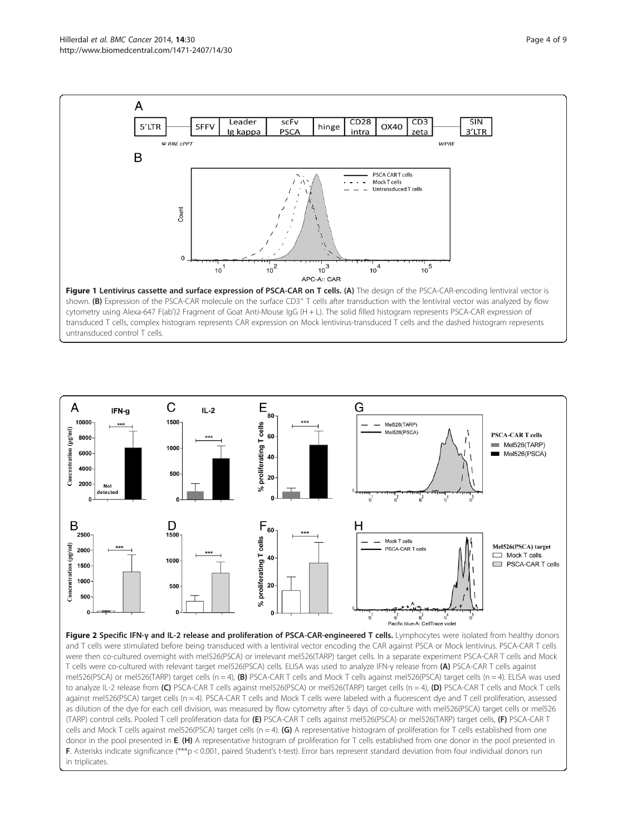<span id="page-3-0"></span>

cytometry using Alexa-647 F(ab')2 Fragment of Goat Anti-Mouse IgG (H + L). The solid filled histogram represents PSCA-CAR expression of transduced T cells, complex histogram represents CAR expression on Mock lentivirus-transduced T cells and the dashed histogram represents untransduced control T cells.



Figure 2 Specific IFN-γ and IL-2 release and proliferation of PSCA-CAR-engineered T cells. Lymphocytes were isolated from healthy donors and T cells were stimulated before being transduced with a lentiviral vector encoding the CAR against PSCA or Mock lentivirus. PSCA-CAR T cells were then co-cultured overnight with mel526(PSCA) or irrelevant mel526(TARP) target cells. In a separate experiment PSCA-CAR T cells and Mock T cells were co-cultured with relevant target mel526(PSCA) cells. ELISA was used to analyze IFN-γ release from (A) PSCA-CAR T cells against mel526(PSCA) or mel526(TARP) target cells (n = 4), (B) PSCA-CAR T cells and Mock T cells against mel526(PSCA) target cells (n = 4). ELISA was used to analyze IL-2 release from (C) PSCA-CAR T cells against mel526(PSCA) or mel526(TARP) target cells (n = 4), (D) PSCA-CAR T cells and Mock T cells against mel526(PSCA) target cells (n = 4). PSCA-CAR T cells and Mock T cells were labeled with a fluorescent dye and T cell proliferation, assessed as dilution of the dye for each cell division, was measured by flow cytometry after 5 days of co-culture with mel526(PSCA) target cells or mel526 (TARP) control cells. Pooled T cell proliferation data for (E) PSCA-CAR T cells against mel526(PSCA) or mel526(TARP) target cells, (F) PSCA-CAR T cells and Mock T cells against mel526(PSCA) target cells (n = 4). (G) A representative histogram of proliferation for T cells established from one donor in the pool presented in E. (H) A representative histogram of proliferation for T cells established from one donor in the pool presented in F. Asterisks indicate significance (\*\*\*p < 0.001, paired Student's t-test). Error bars represent standard deviation from four individual donors run in triplicates.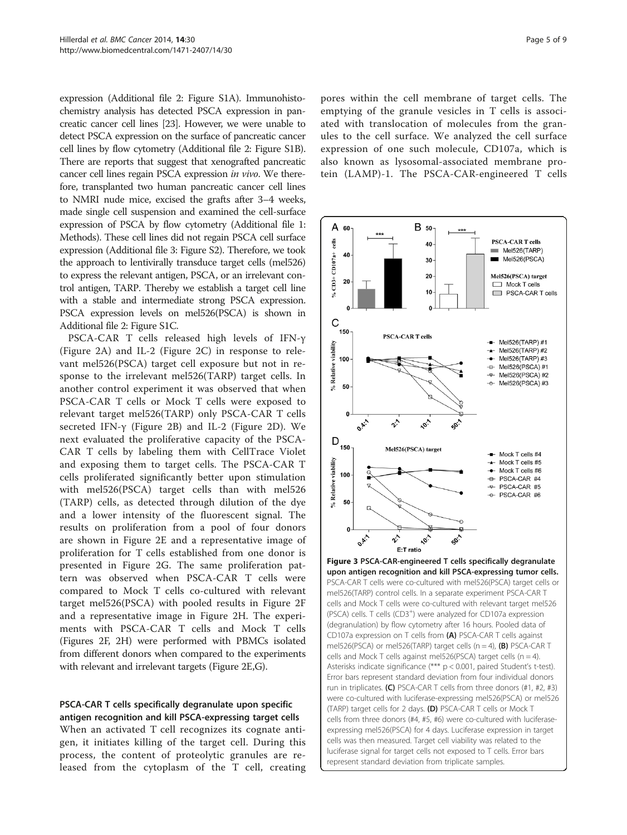<span id="page-4-0"></span>expression (Additional file [2](#page-6-0): Figure S1A). Immunohistochemistry analysis has detected PSCA expression in pancreatic cancer cell lines [\[23](#page-7-0)]. However, we were unable to detect PSCA expression on the surface of pancreatic cancer cell lines by flow cytometry (Additional file [2:](#page-6-0) Figure S1B). There are reports that suggest that xenografted pancreatic cancer cell lines regain PSCA expression in vivo. We therefore, transplanted two human pancreatic cancer cell lines to NMRI nude mice, excised the grafts after 3–4 weeks, made single cell suspension and examined the cell-surface expression of PSCA by flow cytometry (Additional file [1](#page-6-0): Methods). These cell lines did not regain PSCA cell surface expression (Additional file [3:](#page-6-0) Figure S2). Therefore, we took the approach to lentivirally transduce target cells (mel526) to express the relevant antigen, PSCA, or an irrelevant control antigen, TARP. Thereby we establish a target cell line with a stable and intermediate strong PSCA expression. PSCA expression levels on mel526(PSCA) is shown in Additional file [2:](#page-6-0) Figure S1C.

PSCA-CAR T cells released high levels of IFN-γ (Figure [2A](#page-3-0)) and IL-2 (Figure [2C](#page-3-0)) in response to relevant mel526(PSCA) target cell exposure but not in response to the irrelevant mel526(TARP) target cells. In another control experiment it was observed that when PSCA-CAR T cells or Mock T cells were exposed to relevant target mel526(TARP) only PSCA-CAR T cells secreted IFN-γ (Figure [2B](#page-3-0)) and IL-2 (Figure [2D](#page-3-0)). We next evaluated the proliferative capacity of the PSCA-CAR T cells by labeling them with CellTrace Violet and exposing them to target cells. The PSCA-CAR T cells proliferated significantly better upon stimulation with mel526(PSCA) target cells than with mel526 (TARP) cells, as detected through dilution of the dye and a lower intensity of the fluorescent signal. The results on proliferation from a pool of four donors are shown in Figure [2E](#page-3-0) and a representative image of proliferation for T cells established from one donor is presented in Figure [2](#page-3-0)G. The same proliferation pattern was observed when PSCA-CAR T cells were compared to Mock T cells co-cultured with relevant target mel526(PSCA) with pooled results in Figure [2](#page-3-0)F and a representative image in Figure [2](#page-3-0)H. The experiments with PSCA-CAR T cells and Mock T cells (Figures [2F](#page-3-0), [2H](#page-3-0)) were performed with PBMCs isolated from different donors when compared to the experiments with relevant and irrelevant targets (Figure [2](#page-3-0)E,G).

## PSCA-CAR T cells specifically degranulate upon specific antigen recognition and kill PSCA-expressing target cells

When an activated T cell recognizes its cognate antigen, it initiates killing of the target cell. During this process, the content of proteolytic granules are released from the cytoplasm of the T cell, creating pores within the cell membrane of target cells. The emptying of the granule vesicles in T cells is associated with translocation of molecules from the granules to the cell surface. We analyzed the cell surface expression of one such molecule, CD107a, which is also known as lysosomal-associated membrane protein (LAMP)-1. The PSCA-CAR-engineered T cells



Figure 3 PSCA-CAR-engineered T cells specifically degranulate upon antigen recognition and kill PSCA-expressing tumor cells. PSCA-CAR T cells were co-cultured with mel526(PSCA) target cells or mel526(TARP) control cells. In a separate experiment PSCA-CAR T cells and Mock T cells were co-cultured with relevant target mel526 (PSCA) cells. T cells (CD3+ ) were analyzed for CD107a expression (degranulation) by flow cytometry after 16 hours. Pooled data of CD107a expression on T cells from (A) PSCA-CAR T cells against mel526(PSCA) or mel526(TARP) target cells (n = 4), (B) PSCA-CAR T cells and Mock T cells against mel526(PSCA) target cells (n = 4). Asterisks indicate significance (\*\*\* p < 0.001, paired Student's t-test). Error bars represent standard deviation from four individual donors run in triplicates. (C) PSCA-CAR T cells from three donors (#1, #2, #3) were co-cultured with luciferase-expressing mel526(PSCA) or mel526 (TARP) target cells for 2 days. (D) PSCA-CAR T cells or Mock T cells from three donors (#4, #5, #6) were co-cultured with luciferaseexpressing mel526(PSCA) for 4 days. Luciferase expression in target cells was then measured. Target cell viability was related to the luciferase signal for target cells not exposed to T cells. Error bars represent standard deviation from triplicate samples.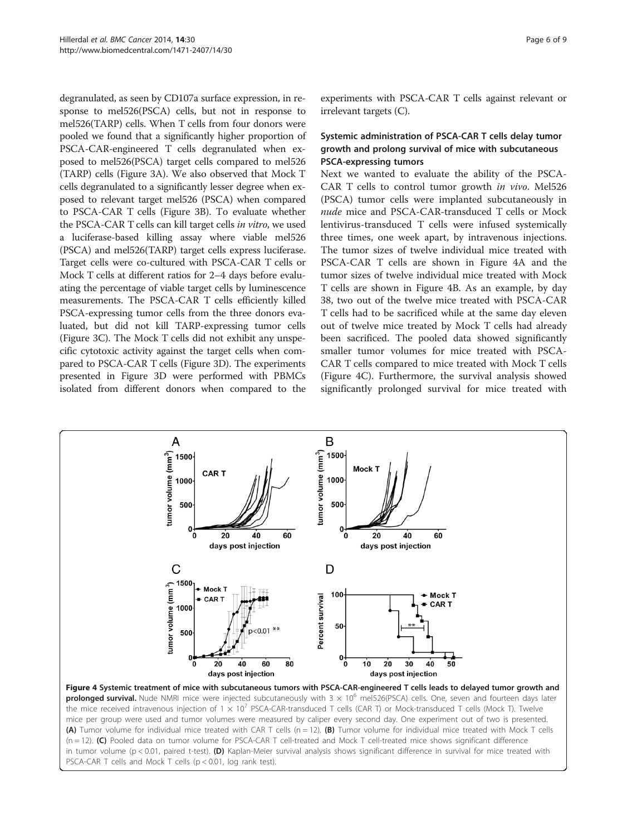<span id="page-5-0"></span>degranulated, as seen by CD107a surface expression, in response to mel526(PSCA) cells, but not in response to mel526(TARP) cells. When T cells from four donors were pooled we found that a significantly higher proportion of PSCA-CAR-engineered T cells degranulated when exposed to mel526(PSCA) target cells compared to mel526 (TARP) cells (Figure [3A](#page-4-0)). We also observed that Mock T cells degranulated to a significantly lesser degree when exposed to relevant target mel526 (PSCA) when compared to PSCA-CAR T cells (Figure [3B](#page-4-0)). To evaluate whether the PSCA-CAR T cells can kill target cells in vitro, we used a luciferase-based killing assay where viable mel526 (PSCA) and mel526(TARP) target cells express luciferase. Target cells were co-cultured with PSCA-CAR T cells or Mock T cells at different ratios for 2–4 days before evaluating the percentage of viable target cells by luminescence measurements. The PSCA-CAR T cells efficiently killed PSCA-expressing tumor cells from the three donors evaluated, but did not kill TARP-expressing tumor cells (Figure [3](#page-4-0)C). The Mock T cells did not exhibit any unspecific cytotoxic activity against the target cells when compared to PSCA-CAR T cells (Figure [3](#page-4-0)D). The experiments presented in Figure [3](#page-4-0)D were performed with PBMCs isolated from different donors when compared to the

PSCA-CAR T cells and Mock T cells (p < 0.01, log rank test).

experiments with PSCA-CAR T cells against relevant or irrelevant targets (C).

## Systemic administration of PSCA-CAR T cells delay tumor growth and prolong survival of mice with subcutaneous PSCA-expressing tumors

Next we wanted to evaluate the ability of the PSCA-CAR T cells to control tumor growth in vivo. Mel526 (PSCA) tumor cells were implanted subcutaneously in nude mice and PSCA-CAR-transduced T cells or Mock lentivirus-transduced T cells were infused systemically three times, one week apart, by intravenous injections. The tumor sizes of twelve individual mice treated with PSCA-CAR T cells are shown in Figure 4A and the tumor sizes of twelve individual mice treated with Mock T cells are shown in Figure 4B. As an example, by day 38, two out of the twelve mice treated with PSCA-CAR T cells had to be sacrificed while at the same day eleven out of twelve mice treated by Mock T cells had already been sacrificed. The pooled data showed significantly smaller tumor volumes for mice treated with PSCA-CAR T cells compared to mice treated with Mock T cells (Figure 4C). Furthermore, the survival analysis showed significantly prolonged survival for mice treated with

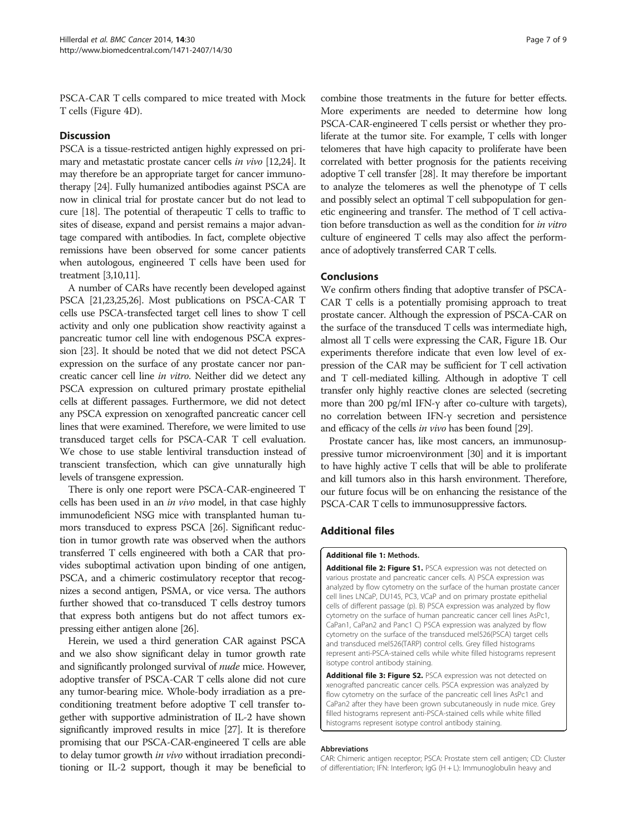<span id="page-6-0"></span>PSCA-CAR T cells compared to mice treated with Mock T cells (Figure [4D](#page-5-0)).

#### **Discussion**

PSCA is a tissue-restricted antigen highly expressed on primary and metastatic prostate cancer cells in vivo [\[12,24](#page-7-0)]. It may therefore be an appropriate target for cancer immunotherapy [\[24\]](#page-7-0). Fully humanized antibodies against PSCA are now in clinical trial for prostate cancer but do not lead to cure [\[18\]](#page-7-0). The potential of therapeutic T cells to traffic to sites of disease, expand and persist remains a major advantage compared with antibodies. In fact, complete objective remissions have been observed for some cancer patients when autologous, engineered T cells have been used for treatment [[3,10,11](#page-7-0)].

A number of CARs have recently been developed against PSCA [\[21,23,25,26\]](#page-7-0). Most publications on PSCA-CAR T cells use PSCA-transfected target cell lines to show T cell activity and only one publication show reactivity against a pancreatic tumor cell line with endogenous PSCA expression [\[23\]](#page-7-0). It should be noted that we did not detect PSCA expression on the surface of any prostate cancer nor pancreatic cancer cell line in vitro. Neither did we detect any PSCA expression on cultured primary prostate epithelial cells at different passages. Furthermore, we did not detect any PSCA expression on xenografted pancreatic cancer cell lines that were examined. Therefore, we were limited to use transduced target cells for PSCA-CAR T cell evaluation. We chose to use stable lentiviral transduction instead of transcient transfection, which can give unnaturally high levels of transgene expression.

There is only one report were PSCA-CAR-engineered T cells has been used in an in vivo model, in that case highly immunodeficient NSG mice with transplanted human tumors transduced to express PSCA [\[26](#page-7-0)]. Significant reduction in tumor growth rate was observed when the authors transferred T cells engineered with both a CAR that provides suboptimal activation upon binding of one antigen, PSCA, and a chimeric costimulatory receptor that recognizes a second antigen, PSMA, or vice versa. The authors further showed that co-transduced T cells destroy tumors that express both antigens but do not affect tumors expressing either antigen alone [\[26\]](#page-7-0).

Herein, we used a third generation CAR against PSCA and we also show significant delay in tumor growth rate and significantly prolonged survival of *nude* mice. However, adoptive transfer of PSCA-CAR T cells alone did not cure any tumor-bearing mice. Whole-body irradiation as a preconditioning treatment before adoptive T cell transfer together with supportive administration of IL-2 have shown significantly improved results in mice [\[27\]](#page-7-0). It is therefore promising that our PSCA-CAR-engineered T cells are able to delay tumor growth *in vivo* without irradiation preconditioning or IL-2 support, though it may be beneficial to

combine those treatments in the future for better effects. More experiments are needed to determine how long PSCA-CAR-engineered T cells persist or whether they proliferate at the tumor site. For example, T cells with longer telomeres that have high capacity to proliferate have been correlated with better prognosis for the patients receiving adoptive T cell transfer [[28](#page-7-0)]. It may therefore be important to analyze the telomeres as well the phenotype of T cells and possibly select an optimal T cell subpopulation for genetic engineering and transfer. The method of T cell activation before transduction as well as the condition for in vitro culture of engineered T cells may also affect the performance of adoptively transferred CAR T cells.

## Conclusions

We confirm others finding that adoptive transfer of PSCA-CAR T cells is a potentially promising approach to treat prostate cancer. Although the expression of PSCA-CAR on the surface of the transduced T cells was intermediate high, almost all T cells were expressing the CAR, Figure [1B](#page-3-0). Our experiments therefore indicate that even low level of expression of the CAR may be sufficient for T cell activation and T cell-mediated killing. Although in adoptive T cell transfer only highly reactive clones are selected (secreting more than 200 pg/ml IFN-γ after co-culture with targets), no correlation between IFN-γ secretion and persistence and efficacy of the cells in vivo has been found [\[29](#page-7-0)].

Prostate cancer has, like most cancers, an immunosuppressive tumor microenvironment [\[30](#page-8-0)] and it is important to have highly active T cells that will be able to proliferate and kill tumors also in this harsh environment. Therefore, our future focus will be on enhancing the resistance of the PSCA-CAR T cells to immunosuppressive factors.

#### Additional files

#### [Additional file 1:](http://www.biomedcentral.com/content/supplementary/1471-2407-14-30-S1.docx) Methods.

[Additional file 2: Figure S1.](http://www.biomedcentral.com/content/supplementary/1471-2407-14-30-S2.tiff) PSCA expression was not detected on various prostate and pancreatic cancer cells. A) PSCA expression was analyzed by flow cytometry on the surface of the human prostate cancer cell lines LNCaP, DU145, PC3, VCaP and on primary prostate epithelial cells of different passage (p). B) PSCA expression was analyzed by flow cytometry on the surface of human pancreatic cancer cell lines AsPc1, CaPan1, CaPan2 and Panc1 C) PSCA expression was analyzed by flow cytometry on the surface of the transduced mel526(PSCA) target cells and transduced mel526(TARP) control cells. Grey filled histograms represent anti-PSCA-stained cells while white filled histograms represent isotype control antibody staining.

[Additional file 3: Figure S2.](http://www.biomedcentral.com/content/supplementary/1471-2407-14-30-S3.tiff) PSCA expression was not detected on xenografted pancreatic cancer cells. PSCA expression was analyzed by flow cytometry on the surface of the pancreatic cell lines AsPc1 and CaPan2 after they have been grown subcutaneously in nude mice. Grey filled histograms represent anti-PSCA-stained cells while white filled histograms represent isotype control antibody staining.

#### Abbreviations

CAR: Chimeric antigen receptor; PSCA: Prostate stem cell antigen; CD: Cluster of differentiation; IFN: Interferon; IgG (H + L): Immunoglobulin heavy and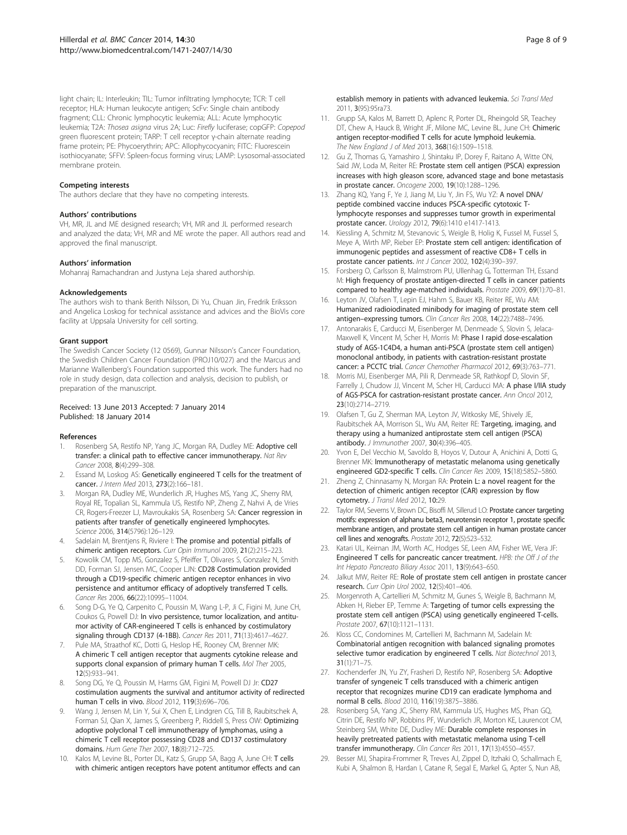<span id="page-7-0"></span>light chain; IL: Interleukin; TIL: Tumor infiltrating lymphocyte; TCR: T cell receptor; HLA: Human leukocyte antigen; ScFv: Single chain antibody fragment; CLL: Chronic lymphocytic leukemia; ALL: Acute lymphocytic leukemia; T2A: Thosea asigna virus 2A; Luc: Firefly luciferase; copGFP: Copepod green fluorescent protein; TARP: T cell receptor γ-chain alternate reading frame protein; PE: Phycoerythrin; APC: Allophycocyanin; FITC: Fluorescein isothiocyanate; SFFV: Spleen-focus forming virus; LAMP: Lysosomal-associated membrane protein.

#### Competing interests

The authors declare that they have no competing interests.

#### Authors' contributions

VH, MR, JL and ME designed research; VH, MR and JL performed research and analyzed the data; VH, MR and ME wrote the paper. All authors read and approved the final manuscript.

#### Authors' information

Mohanraj Ramachandran and Justyna Leja shared authorship.

#### Acknowledgements

The authors wish to thank Berith Nilsson, Di Yu, Chuan Jin, Fredrik Eriksson and Angelica Loskog for technical assistance and advices and the BioVis core facility at Uppsala University for cell sorting.

#### Grant support

The Swedish Cancer Society (12 0569), Gunnar Nilsson's Cancer Foundation, the Swedish Children Cancer Foundation (PROJ10/027) and the Marcus and Marianne Wallenberg's Foundation supported this work. The funders had no role in study design, data collection and analysis, decision to publish, or preparation of the manuscript.

#### Received: 13 June 2013 Accepted: 7 January 2014 Published: 18 January 2014

#### References

- 1. Rosenberg SA, Restifo NP, Yang JC, Morgan RA, Dudley ME: Adoptive cell transfer: a clinical path to effective cancer immunotherapy. Nat Rev Cancer 2008, 8(4):299–308.
- Essand M, Loskog AS: Genetically engineered T cells for the treatment of cancer. J Intern Med 2013, 273(2):166–181.
- 3. Morgan RA, Dudley ME, Wunderlich JR, Hughes MS, Yang JC, Sherry RM, Royal RE, Topalian SL, Kammula US, Restifo NP, Zheng Z, Nahvi A, de Vries CR, Rogers-Freezer LJ, Mavroukakis SA, Rosenberg SA: Cancer regression in patients after transfer of genetically engineered lymphocytes. Science 2006, 314(5796):126–129.
- 4. Sadelain M, Brentjens R, Riviere I: The promise and potential pitfalls of chimeric antigen receptors. Curr Opin Immunol 2009, 21(2):215–223.
- 5. Kowolik CM, Topp MS, Gonzalez S, Pfeiffer T, Olivares S, Gonzalez N, Smith DD, Forman SJ, Jensen MC, Cooper LJN: CD28 Costimulation provided through a CD19-specific chimeric antigen receptor enhances in vivo persistence and antitumor efficacy of adoptively transferred T cells. Cancer Res 2006, 66(22):10995–11004.
- Song D-G, Ye Q, Carpenito C, Poussin M, Wang L-P, Ji C, Figini M, June CH, Coukos G, Powell DJ: In vivo persistence, tumor localization, and antitumor activity of CAR-engineered T cells is enhanced by costimulatory signaling through CD137 (4-1BB). Cancer Res 2011, 71(13):4617–4627.
- 7. Pule MA, Straathof KC, Dotti G, Heslop HE, Rooney CM, Brenner MK: A chimeric T cell antigen receptor that augments cytokine release and supports clonal expansion of primary human T cells. Mol Ther 2005, 12(5):933–941.
- 8. Song DG, Ye Q, Poussin M, Harms GM, Figini M, Powell DJ Jr: CD27 costimulation augments the survival and antitumor activity of redirected human T cells in vivo. Blood 2012, 119(3):696–706.
- Wang J, Jensen M, Lin Y, Sui X, Chen E, Lindgren CG, Till B, Raubitschek A, Forman SJ, Qian X, James S, Greenberg P, Riddell S, Press OW: Optimizing adoptive polyclonal T cell immunotherapy of lymphomas, using a chimeric T cell receptor possessing CD28 and CD137 costimulatory domains. Hum Gene Ther 2007, 18(8):712–725.
- 10. Kalos M, Levine BL, Porter DL, Katz S, Grupp SA, Bagg A, June CH: T cells with chimeric antigen receptors have potent antitumor effects and can

establish memory in patients with advanced leukemia. Sci Transl Med 2011, 3(95):95ra73.

- 11. Grupp SA, Kalos M, Barrett D, Aplenc R, Porter DL, Rheingold SR, Teachey DT, Chew A, Hauck B, Wright JF, Milone MC, Levine BL, June CH: Chimeric antigen receptor-modified T cells for acute lymphoid leukemia. The New England J of Med 2013, 368(16):1509–1518.
- 12. Gu Z, Thomas G, Yamashiro J, Shintaku IP, Dorey F, Raitano A, Witte ON, Said JW, Loda M, Reiter RE: Prostate stem cell antigen (PSCA) expression increases with high gleason score, advanced stage and bone metastasis in prostate cancer. Oncogene 2000, 19(10):1288–1296.
- 13. Zhang KQ, Yang F, Ye J, Jiang M, Liu Y, Jin FS, Wu YZ: A novel DNA/ peptide combined vaccine induces PSCA-specific cytotoxic Tlymphocyte responses and suppresses tumor growth in experimental prostate cancer. Urology 2012, 79(6):1410 e1417-1413.
- 14. Kiessling A, Schmitz M, Stevanovic S, Weigle B, Holig K, Fussel M, Fussel S, Meye A, Wirth MP, Rieber EP: Prostate stem cell antigen: identification of immunogenic peptides and assessment of reactive CD8+ T cells in prostate cancer patients. Int J Cancer 2002, 102(4):390-397
- 15. Forsberg O, Carlsson B, Malmstrom PU, Ullenhag G, Totterman TH, Essand M: High frequency of prostate antigen-directed T cells in cancer patients compared to healthy age-matched individuals. Prostate 2009, 69(1):70–81.
- 16. Leyton JV, Olafsen T, Lepin EJ, Hahm S, Bauer KB, Reiter RE, Wu AM: Humanized radioiodinated minibody for imaging of prostate stem cell antigen–expressing tumors. Clin Cancer Res 2008, 14(22):7488–7496.
- 17. Antonarakis E, Carducci M, Eisenberger M, Denmeade S, Slovin S, Jelaca-Maxwell K, Vincent M, Scher H, Morris M: Phase I rapid dose-escalation study of AGS-1C4D4, a human anti-PSCA (prostate stem cell antigen) monoclonal antibody, in patients with castration-resistant prostate cancer: a PCCTC trial. Cancer Chemother Pharmacol 2012, 69(3):763–771.
- 18. Morris MJ, Eisenberger MA, Pili R, Denmeade SR, Rathkopf D, Slovin SF, Farrelly J, Chudow JJ, Vincent M, Scher HI, Carducci MA: A phase I/IIA study of AGS-PSCA for castration-resistant prostate cancer. Ann Oncol 2012, 23(10):2714–2719.
- 19. Olafsen T, Gu Z, Sherman MA, Leyton JV, Witkosky ME, Shively JE, Raubitschek AA, Morrison SL, Wu AM, Reiter RE: Targeting, imaging, and therapy using a humanized antiprostate stem cell antigen (PSCA) antibody. J Immunother 2007, 30(4):396–405.
- 20. Yvon E, Del Vecchio M, Savoldo B, Hoyos V, Dutour A, Anichini A, Dotti G, Brenner MK: Immunotherapy of metastatic melanoma using genetically engineered GD2-specific T cells. Clin Cancer Res 2009, 15(18):5852–5860.
- 21. Zheng Z, Chinnasamy N, Morgan RA: Protein L: a novel reagent for the detection of chimeric antigen receptor (CAR) expression by flow cytometry. J Transl Med 2012, 10:29.
- 22. Taylor RM, Severns V, Brown DC, Bisoffi M, Sillerud LO: Prostate cancer targeting motifs: expression of alphanu beta3, neurotensin receptor 1, prostate specific membrane antigen, and prostate stem cell antigen in human prostate cancer cell lines and xenografts. Prostate 2012, 72(5):523–532.
- 23. Katari UL, Keirnan JM, Worth AC, Hodges SE, Leen AM, Fisher WE, Vera JF: Engineered T cells for pancreatic cancer treatment. HPB: the Off J of the Int Hepato Pancreato Biliary Assoc 2011, 13(9):643-650.
- 24. Jalkut MW, Reiter RE: Role of prostate stem cell antigen in prostate cancer research. Curr Opin Urol 2002, 12(5):401–406.
- 25. Morgenroth A, Cartellieri M, Schmitz M, Gunes S, Weigle B, Bachmann M, Abken H, Rieber EP, Temme A: Targeting of tumor cells expressing the prostate stem cell antigen (PSCA) using genetically engineered T-cells. Prostate 2007, 67(10):1121–1131.
- 26. Kloss CC, Condomines M, Cartellieri M, Bachmann M, Sadelain M: Combinatorial antigen recognition with balanced signaling promotes selective tumor eradication by engineered T cells. Nat Biotechnol 2013, 31(1):71–75.
- 27. Kochenderfer JN, Yu ZY, Frasheri D, Restifo NP, Rosenberg SA: Adoptive transfer of syngeneic T cells transduced with a chimeric antigen receptor that recognizes murine CD19 can eradicate lymphoma and normal B cells. Blood 2010, 116(19):3875–3886.
- 28. Rosenberg SA, Yang JC, Sherry RM, Kammula US, Hughes MS, Phan GQ, Citrin DE, Restifo NP, Robbins PF, Wunderlich JR, Morton KE, Laurencot CM, Steinberg SM, White DE, Dudley ME: Durable complete responses in heavily pretreated patients with metastatic melanoma using T-cell transfer immunotherapy. Clin Cancer Res 2011, 17(13):4550–4557.
- 29. Besser MJ, Shapira-Frommer R, Treves AJ, Zippel D, Itzhaki O, Schallmach E, Kubi A, Shalmon B, Hardan I, Catane R, Segal E, Markel G, Apter S, Nun AB,